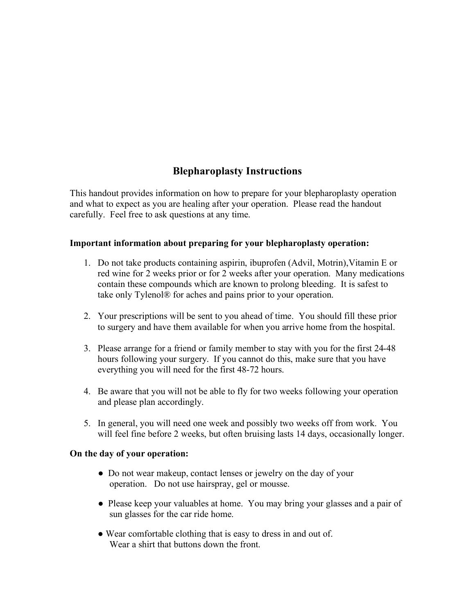# **Blepharoplasty Instructions**

This handout provides information on how to prepare for your blepharoplasty operation and what to expect as you are healing after your operation. Please read the handout carefully. Feel free to ask questions at any time.

## **Important information about preparing for your blepharoplasty operation:**

- 1. Do not take products containing aspirin, ibuprofen (Advil, Motrin),Vitamin E or red wine for 2 weeks prior or for 2 weeks after your operation. Many medications contain these compounds which are known to prolong bleeding. It is safest to take only Tylenol® for aches and pains prior to your operation.
- 2. Your prescriptions will be sent to you ahead of time. You should fill these prior to surgery and have them available for when you arrive home from the hospital.
- 3. Please arrange for a friend or family member to stay with you for the first 24-48 hours following your surgery. If you cannot do this, make sure that you have everything you will need for the first 48-72 hours.
- 4. Be aware that you will not be able to fly for two weeks following your operation and please plan accordingly.
- 5. In general, you will need one week and possibly two weeks off from work. You will feel fine before 2 weeks, but often bruising lasts 14 days, occasionally longer.

## **On the day of your operation:**

- Do not wear makeup, contact lenses or jewelry on the day of your operation. Do not use hairspray, gel or mousse.
- Please keep your valuables at home. You may bring your glasses and a pair of sun glasses for the car ride home.
- Wear comfortable clothing that is easy to dress in and out of. Wear a shirt that buttons down the front.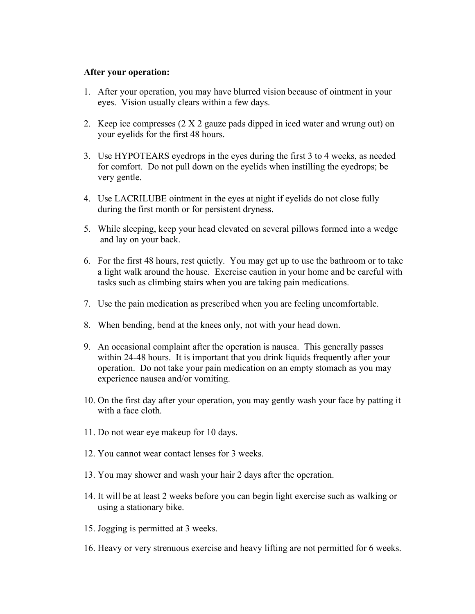### **After your operation:**

- 1. After your operation, you may have blurred vision because of ointment in your eyes. Vision usually clears within a few days.
- 2. Keep ice compresses (2 X 2 gauze pads dipped in iced water and wrung out) on your eyelids for the first 48 hours.
- 3. Use HYPOTEARS eyedrops in the eyes during the first 3 to 4 weeks, as needed for comfort. Do not pull down on the eyelids when instilling the eyedrops; be very gentle.
- 4. Use LACRILUBE ointment in the eyes at night if eyelids do not close fully during the first month or for persistent dryness.
- 5. While sleeping, keep your head elevated on several pillows formed into a wedge and lay on your back.
- 6. For the first 48 hours, rest quietly. You may get up to use the bathroom or to take a light walk around the house. Exercise caution in your home and be careful with tasks such as climbing stairs when you are taking pain medications.
- 7. Use the pain medication as prescribed when you are feeling uncomfortable.
- 8. When bending, bend at the knees only, not with your head down.
- 9. An occasional complaint after the operation is nausea. This generally passes within 24-48 hours. It is important that you drink liquids frequently after your operation. Do not take your pain medication on an empty stomach as you may experience nausea and/or vomiting.
- 10. On the first day after your operation, you may gently wash your face by patting it with a face cloth.
- 11. Do not wear eye makeup for 10 days.
- 12. You cannot wear contact lenses for 3 weeks.
- 13. You may shower and wash your hair 2 days after the operation.
- 14. It will be at least 2 weeks before you can begin light exercise such as walking or using a stationary bike.
- 15. Jogging is permitted at 3 weeks.
- 16. Heavy or very strenuous exercise and heavy lifting are not permitted for 6 weeks.